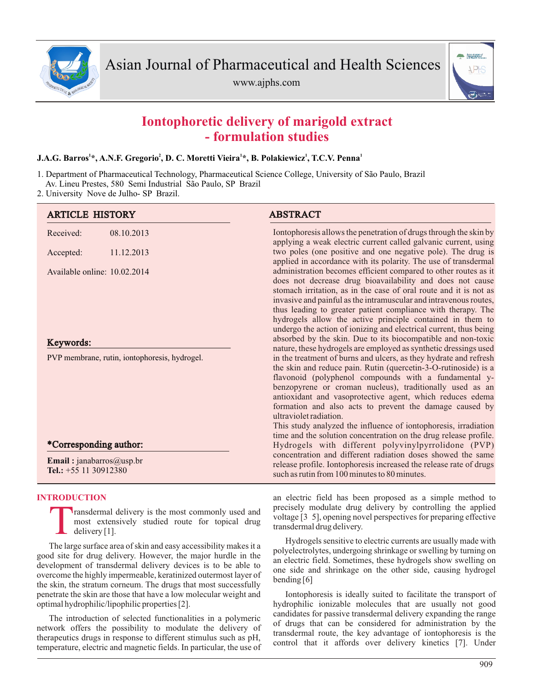

www.ajphs.com



# **Iontophoretic delivery of marigold extract - formulation studies**

## **1 2 1 1 1 J.A.G. Barros \*, A.N.F. Gregorio , D. C. Moretti Vieira \*, B. Polakiewicz , T.C.V. Penna**

- 1. Department of Pharmaceutical Technology, Pharmaceutical Science College, University of São Paulo, Brazil Av. Lineu Prestes, 580 Semi Industrial São Paulo, SP Brazil
- 2. University Nove de Julho- SP Brazil.

| <b>ARTICLE HISTORY</b>                                     |            | <b>ABSTRACT</b>                                                                                                                                                                                                                                                                                                                                                                                                                                                                |
|------------------------------------------------------------|------------|--------------------------------------------------------------------------------------------------------------------------------------------------------------------------------------------------------------------------------------------------------------------------------------------------------------------------------------------------------------------------------------------------------------------------------------------------------------------------------|
| Received:                                                  | 08.10.2013 | Iontophoresis allows the penetration of drugs through the skin by<br>applying a weak electric current called galvanic current, using                                                                                                                                                                                                                                                                                                                                           |
| Accepted:                                                  | 11.12.2013 | two poles (one positive and one negative pole). The drug is<br>applied in accordance with its polarity. The use of transdermal                                                                                                                                                                                                                                                                                                                                                 |
| Available online: 10.02.2014                               |            | administration becomes efficient compared to other routes as it<br>does not decrease drug bioavailability and does not cause<br>stomach irritation, as in the case of oral route and it is not as<br>invasive and painful as the intramuscular and intravenous routes,<br>thus leading to greater patient compliance with therapy. The<br>hydrogels allow the active principle contained in them to<br>undergo the action of ionizing and electrical current, thus being       |
| Keywords:                                                  |            | absorbed by the skin. Due to its biocompatible and non-toxic<br>nature, these hydrogels are employed as synthetic dressings used                                                                                                                                                                                                                                                                                                                                               |
| PVP membrane, rutin, iontophoresis, hydrogel.              |            | in the treatment of burns and ulcers, as they hydrate and refresh<br>the skin and reduce pain. Rutin (quercetin-3-O-rutinoside) is a<br>flavonoid (polyphenol compounds with a fundamental y-<br>benzopyrene or croman nucleus), traditionally used as an<br>antioxidant and vasoprotective agent, which reduces edema<br>formation and also acts to prevent the damage caused by<br>ultraviolet radiation.<br>This study analyzed the influence of iontophoresis, irradiation |
|                                                            |            | time and the solution concentration on the drug release profile.                                                                                                                                                                                                                                                                                                                                                                                                               |
| *Corresponding author:                                     |            | Hydrogels with different polyvinylpyrrolidone (PVP)<br>concentration and different radiation doses showed the same                                                                                                                                                                                                                                                                                                                                                             |
| <b>Email:</b> janabarros@usp.br<br>Tel.: $+55$ 11 30912380 |            | release profile. Iontophoresis increased the release rate of drugs<br>such as rutin from 100 minutes to 80 minutes.                                                                                                                                                                                                                                                                                                                                                            |

### **INTRODUCTION**

T ransdermal delivery is the most commonly used and most extensively studied route for topical drug delivery [1].

The large surface area of skin and easy accessibility makes it a good site for drug delivery. However, the major hurdle in the development of transdermal delivery devices is to be able to overcome the highly impermeable, keratinized outermost layer of the skin, the stratum corneum. The drugs that most successfully penetrate the skin are those that have a low molecular weight and optimal hydrophilic/lipophilic properties [2].

The introduction of selected functionalities in a polymeric network offers the possibility to modulate the delivery of therapeutics drugs in response to different stimulus such as pH, temperature, electric and magnetic fields. In particular, the use of an electric field has been proposed as a simple method to precisely modulate drug delivery by controlling the applied voltage [3 5], opening novel perspectives for preparing effective transdermal drug delivery.

Hydrogels sensitive to electric currents are usually made with polyelectrolytes, undergoing shrinkage or swelling by turning on an electric field. Sometimes, these hydrogels show swelling on one side and shrinkage on the other side, causing hydrogel bending [6]

Iontophoresis is ideally suited to facilitate the transport of hydrophilic ionizable molecules that are usually not good candidates for passive transdermal delivery expanding the range of drugs that can be considered for administration by the transdermal route, the key advantage of iontophoresis is the control that it affords over delivery kinetics [7]. Under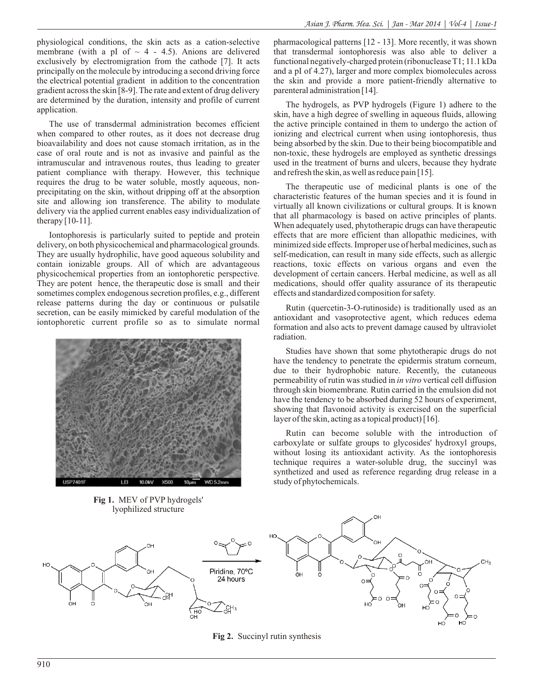physiological conditions, the skin acts as a cation-selective membrane (with a pI of  $\sim$  4 - 4.5). Anions are delivered exclusively by electromigration from the cathode [7]. It acts principally on the molecule by introducing a second driving force the electrical potential gradient in addition to the concentration gradient across the skin [8-9]. The rate and extent of drug delivery are determined by the duration, intensity and profile of current application.

The use of transdermal administration becomes efficient when compared to other routes, as it does not decrease drug bioavailability and does not cause stomach irritation, as in the case of oral route and is not as invasive and painful as the intramuscular and intravenous routes, thus leading to greater patient compliance with therapy. However, this technique requires the drug to be water soluble, mostly aqueous, nonprecipitating on the skin, without dripping off at the absorption site and allowing ion transference. The ability to modulate delivery via the applied current enables easy individualization of therapy [10-11].

Iontophoresis is particularly suited to peptide and protein delivery, on both physicochemical and pharmacological grounds. They are usually hydrophilic, have good aqueous solubility and contain ionizable groups. All of which are advantageous physicochemical properties from an iontophoretic perspective. They are potent hence, the therapeutic dose is small and their sometimes complex endogenous secretion profiles, e.g., different release patterns during the day or continuous or pulsatile secretion, can be easily mimicked by careful modulation of the iontophoretic current profile so as to simulate normal



**Fig 1.** MEV of PVP hydrogels' lyophilized structure

pharmacological patterns [12 - 13]. More recently, it was shown that transdermal iontophoresis was also able to deliver a functional negatively-charged protein (ribonuclease T1; 11.1 kDa and a pI of 4.27), larger and more complex biomolecules across the skin and provide a more patient-friendly alternative to parenteral administration [14].

The hydrogels, as PVP hydrogels (Figure 1) adhere to the skin, have a high degree of swelling in aqueous fluids, allowing the active principle contained in them to undergo the action of ionizing and electrical current when using iontophoresis, thus being absorbed by the skin. Due to their being biocompatible and non-toxic, these hydrogels are employed as synthetic dressings used in the treatment of burns and ulcers, because they hydrate and refresh the skin, as well as reduce pain [15].

The therapeutic use of medicinal plants is one of the characteristic features of the human species and it is found in virtually all known civilizations or cultural groups. It is known that all pharmacology is based on active principles of plants. When adequately used, phytotherapic drugs can have therapeutic effects that are more efficient than allopathic medicines, with minimized side effects. Improper use of herbal medicines, such as self-medication, can result in many side effects, such as allergic reactions, toxic effects on various organs and even the development of certain cancers. Herbal medicine, as well as all medications, should offer quality assurance of its therapeutic effects and standardized composition for safety.

Rutin (quercetin-3-O-rutinoside) is traditionally used as an antioxidant and vasoprotective agent, which reduces edema formation and also acts to prevent damage caused by ultraviolet radiation.

Studies have shown that some phytotherapic drugs do not have the tendency to penetrate the epidermis stratum corneum, due to their hydrophobic nature. Recently, the cutaneous permeability of rutin was studied in *in vitro* vertical cell diffusion through skin biomembrane*.* Rutin carried in the emulsion did not have the tendency to be absorbed during 52 hours of experiment, showing that flavonoid activity is exercised on the superficial layer of the skin, acting as a topical product) [16].

Rutin can become soluble with the introduction of carboxylate or sulfate groups to glycosides' hydroxyl groups, without losing its antioxidant activity. As the iontophoresis technique requires a water-soluble drug, the succinyl was synthetized and used as reference regarding drug release in a study of phytochemicals.



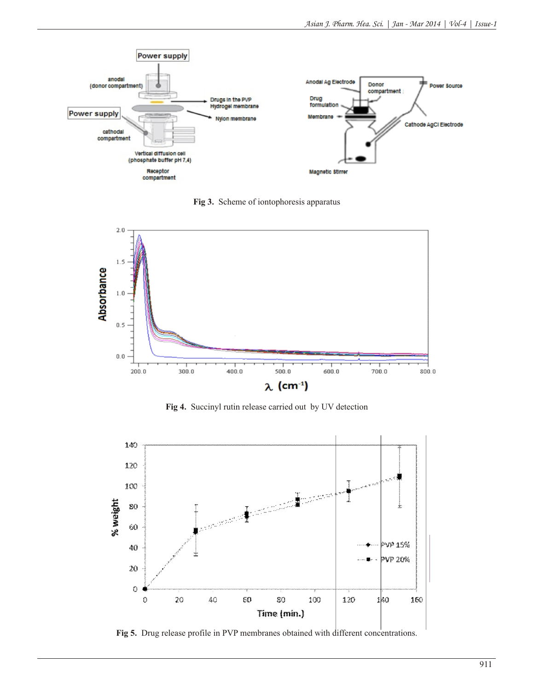

**Fig 3.** Scheme of iontophoresis apparatus



**Fig 4.** Succinyl rutin release carried out by UV detection



**Fig 5.** Drug release profile in PVP membranes obtained with different concentrations.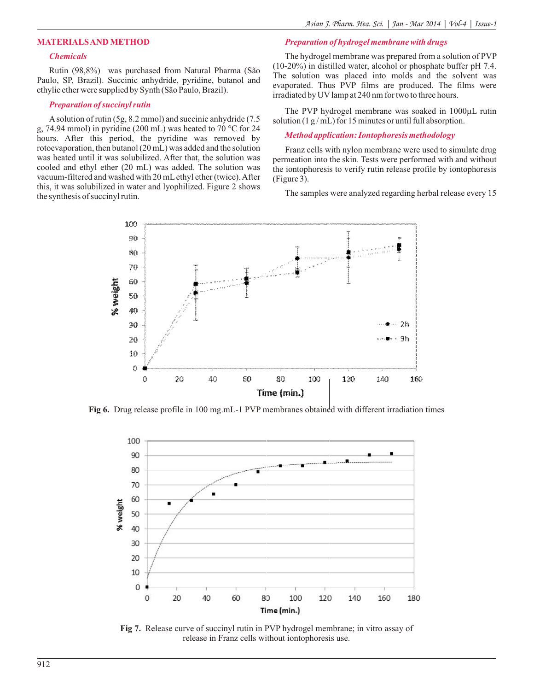#### **MATERIALS AND METHOD**

#### *Chemicals*

Rutin (98,8%) was purchased from Natural Pharma (São Paulo, SP, Brazil). Succinic anhydride, pyridine, butanol and ethylic ether were supplied by Synth (São Paulo, Brazil).

#### *Preparation of succinyl rutin*

Asolution of rutin (5g, 8.2 mmol) and succinic anhydride (7.5 g, 74.94 mmol) in pyridine (200 mL) was heated to 70 °C for 24 hours. After this period, the pyridine was removed by rotoevaporation, then butanol (20 mL) was added and the solution was heated until it was solubilized. After that, the solution was cooled and ethyl ether (20 mL) was added. The solution was vacuum-filtered and washed with 20 mLethyl ether (twice). After this, it was solubilized in water and lyophilized. Figure 2 shows the synthesis of succinyl rutin.

The hydrogel membrane was prepared from a solution of PVP (10-20%) in distilled water, alcohol or phosphate buffer pH 7.4. The solution was placed into molds and the solvent was evaporated. Thus PVP films are produced. The films were irradiated by UV lamp at 240 nm for two to three hours.

The PVP hydrogel membrane was soaked in  $1000\mu$ L rutin solution (1  $g$ /mL) for 15 minutes or until full absorption.

#### *Method application: Iontophoresis methodology*

*Preparation of hydrogel membrane with drugs*

Franz cells with nylon membrane were used to simulate drug permeation into the skin. Tests were performed with and without the iontophoresis to verify rutin release profile by iontophoresis (Figure 3).

The samples were analyzed regarding herbal release every 15



**Fig 6.** Drug release profile in 100 mg.mL-1 PVP membranes obtained with different irradiation times



**Fig 7.** Release curve of succinyl rutin in PVP hydrogel membrane; in vitro assay of release in Franz cells without iontophoresis use.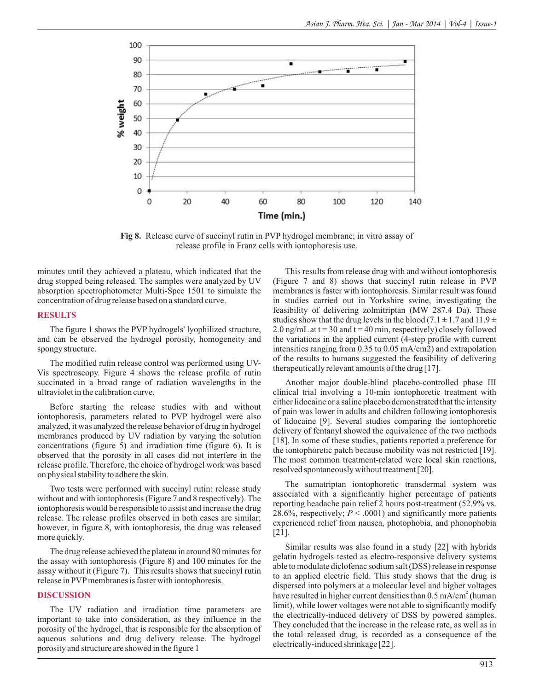

**Fig 8.** Release curve of succinyl rutin in PVP hydrogel membrane; in vitro assay of release profile in Franz cells with iontophoresis use.

minutes until they achieved a plateau, which indicated that the drug stopped being released. The samples were analyzed by UV absorption spectrophotometer Multi-Spec 1501 to simulate the concentration of drug release based on a standard curve.

#### **RESULTS**

The figure 1 shows the PVP hydrogels' lyophilized structure, and can be observed the hydrogel porosity, homogeneity and spongy structure.

The modified rutin release control was performed using UV-Vis spectroscopy. Figure 4 shows the release profile of rutin succinated in a broad range of radiation wavelengths in the ultraviolet in the calibration curve.

Before starting the release studies with and without iontophoresis, parameters related to PVP hydrogel were also analyzed, it was analyzed the release behavior of drug in hydrogel membranes produced by UV radiation by varying the solution concentrations (figure 5) and irradiation time (figure 6). It is observed that the porosity in all cases did not interfere in the release profile. Therefore, the choice of hydrogel work was based on physical stability to adhere the skin.

Two tests were performed with succinyl rutin: release study without and with iontophoresis (Figure 7 and 8 respectively). The iontophoresis would be responsible to assist and increase the drug release. The release profiles observed in both cases are similar; however, in figure 8, with iontophoresis, the drug was released more quickly.

The drug release achieved the plateau in around 80 minutes for the assay with iontophoresis (Figure 8) and 100 minutes for the assay without it (Figure 7). This results shows that succinyl rutin release in PVP membranes is faster with iontophoresis.

#### **DISCUSSION**

The UV radiation and irradiation time parameters are important to take into consideration, as they influence in the porosity of the hydrogel, that is responsible for the absorption of aqueous solutions and drug delivery release. The hydrogel porosity and structure are showed in the figure 1

This results from release drug with and without iontophoresis (Figure 7 and 8) shows that succinyl rutin release in PVP membranes is faster with iontophoresis. Similar result was found in studies carried out in Yorkshire swine, investigating the feasibility of delivering zolmitriptan (MW 287.4 Da). These studies show that the drug levels in the blood (7.1  $\pm$  1.7 and 11.9  $\pm$ 2.0 ng/mL at  $t = 30$  and  $t = 40$  min, respectively) closely followed the variations in the applied current (4-step profile with current intensities ranging from 0.35 to 0.05 mA/cm2) and extrapolation of the results to humans suggested the feasibility of delivering therapeutically relevant amounts of the drug [17].

Another major double-blind placebo-controlled phase III clinical trial involving a 10-min iontophoretic treatment with either lidocaine or a saline placebo demonstrated that the intensity of pain was lower in adults and children following iontophoresis of lidocaine [9]. Several studies comparing the iontophoretic delivery of fentanyl showed the equivalence of the two methods [18]. In some of these studies, patients reported a preference for the iontophoretic patch because mobility was not restricted [19]. The most common treatment-related were local skin reactions, resolved spontaneously without treatment [20].

The sumatriptan iontophoretic transdermal system was associated with a significantly higher percentage of patients reporting headache pain relief 2 hours post-treatment (52.9% vs. 28.6%, respectively;  $P < .0001$ ) and significantly more patients experienced relief from nausea, photophobia, and phonophobia [21].

Similar results was also found in a study [22] with hybrids gelatin hydrogels tested as electro-responsive delivery systems able to modulate diclofenac sodium salt (DSS) release in response to an applied electric field. This study shows that the drug is dispersed into polymers at a molecular level and higher voltages have resulted in higher current densities than 0.5 mA/cm<sup>2</sup> (human limit), while lower voltages were not able to significantly modify the electrically-induced delivery of DSS by powered samples. They concluded that the increase in the release rate, as well as in the total released drug, is recorded as a consequence of the electrically-induced shrinkage [22].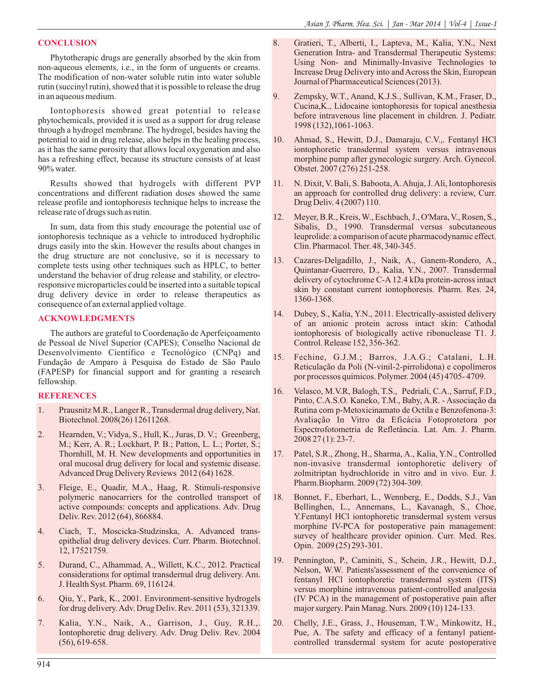#### **CONCLUSION**

Phytotherapic drugs are generally absorbed by the skin from non-aqueous elements, i.e., in the form of unguents or creams. The modification of non-water soluble rutin into water soluble rutin (succinyl rutin), showed that it is possible to release the drug in an aqueous medium.

Iontophoresis showed great potential to release phytochemicals, provided it is used as a support for drug release through a hydrogel membrane. The hydrogel, besides having the potential to aid in drug release, also helps in the healing process, as it has the same porosity that allows local oxygenation and also has a refreshing effect, because its structure consists of at least 90% water.

Results showed that hydrogels with different PVP concentrations and different radiation doses showed the same release profile and iontophoresis technique helps to increase the release rate of drugs such as rutin.

In sum, data from this study encourage the potential use of iontophoresis technique as a vehicle to introduced hydrophilic drugs easily into the skin. However the results about changes in the drug structure are not conclusive, so it is necessary to complete tests using other techniques such as HPLC, to better understand the behavior of drug release and stability, or electroresponsive microparticles could be inserted into a suitable topical drug delivery device in order to release therapeutics as consequence of an external applied voltage.

#### **ACKNOWLEDGMENTS**

The authors are grateful to Coordenação de Aperfeiçoamento de Pessoal de Nível Superior (CAPES); Conselho Nacional de Desenvolvimento Científico e Tecnológico (CNPq) and Fundação de Amparo à Pesquisa do Estado de São Paulo (FAPESP) for financial support and for granting a research fellowship.

#### **REFERENCES**

- 1. Prausnitz M.R., Langer R., Transdermal drug delivery, Nat. Biotechnol. 2008(26) 12611268.
- 2. Hearnden, V.; Vidya, S., Hull, K., Juras, D. V.; Greenberg, M.; Kerr, A. R.; Lockhart, P. B.; Patton, L. L.; Porter, S.; Thornhill, M. H. New developments and opportunities in oral mucosal drug delivery for local and systemic disease. Advanced Drug Delivery Reviews 2012 (64) 1628.
- 3. Fleige, E., Quadir, M.A., Haag, R. Stimuli-responsive polymeric nanocarriers for the controlled transport of active compounds: concepts and applications. Adv. Drug Deliv. Rev. 2012 (64), 866884.
- 4. Ciach, T., Moscicka-Studzinska, A. Advanced transepithelial drug delivery devices. Curr. Pharm. Biotechnol. 12, 17521759.
- 5. Durand, C., Alhammad, A., Willett, K.C., 2012. Practical considerations for optimal transdermal drug delivery. Am. J. Health Syst. Pharm. 69, 116124.
- 6. Qiu, Y., Park, K., 2001. Environment-sensitive hydrogels for drug delivery. Adv. Drug Deliv. Rev. 2011 (53), 321339.
- 7. Kalia, Y.N., Naik, A., Garrison, J., Guy, R.H.,. Iontophoretic drug delivery. Adv. Drug Deliv. Rev. 2004 (56), 619-658.
- 8. Gratieri, T., Alberti, I., Lapteva, M., Kalia, Y.N., Next Generation Intra- and Transdermal Therapeutic Systems: Using Non- and Minimally-Invasive Technologies to Increase Drug Delivery into and Across the Skin, European Journal of Pharmaceutical Sciences (2013).
- 9. Zempsky, W.T., Anand, K.J.S., Sullivan, K.M., Fraser, D., Cucina,K., Lidocaine iontophoresis for topical anesthesia before intravenous line placement in children. J. Pediatr. 1998 (132),1061-1063.
- 10. Ahmad, S., Hewitt, D.J., Damaraju, C.V.,. Fentanyl HCl iontophoretic transdermal system versus intravenous morphine pump after gynecologic surgery. Arch. Gynecol. Obstet. 2007 (276) 251-258.
- 11. N. Dixit, V. Bali, S. Baboota, A. Ahuja, J. Ali, Iontophoresis an approach for controlled drug delivery: a review, Curr. Drug Deliv. 4 (2007) 110.
- 12. Meyer, B.R., Kreis, W., Eschbach, J., O'Mara, V., Rosen, S., Sibalis, D., 1990. Transdermal versus subcutaneous leuprolide: a comparison of acute pharmacodynamic effect. Clin. Pharmacol. Ther. 48, 340-345.
- 13. Cazares-Delgadillo, J., Naik, A., Ganem-Rondero, A., Quintanar-Guerrero, D., Kalia, Y.N., 2007. Transdermal delivery of cytochrome C-A 12.4 kDa protein-across intact skin by constant current iontophoresis. Pharm. Res. 24, 1360-1368.
- 14. Dubey, S., Kalia, Y.N., 2011. Electrically-assisted delivery of an anionic protein across intact skin: Cathodal iontophoresis of biologically active ribonuclease T1. J. Control. Release 152, 356-362.
- 15. Fechine, G.J.M.; Barros, J.A.G.; Catalani, L.H. Reticulação da Poli (N-vinil-2-pirrolidona) e copolímeros por processos químicos. Polymer. 2004 (45) 4705- 4709.
- 16. Velasco, M.V.R, Balogh, T.S., Pedriali, C.A., Sarruf, F.D., Pinto, C.A.S.O. Kaneko, T.M., Baby, A.R. - Associação da Rutina com p-Metoxicinamato de Octila e Benzofenona-3: Avaliação In Vitro da Eficácia Fotoprotetora por Espectrofotometria de Refletância. Lat. Am. J. Pharm. 2008 27 (1): 23-7.
- 17. Patel, S.R., Zhong, H., Sharma, A., Kalia, Y.N., Controlled non-invasive transdermal iontophoretic delivery of zolmitriptan hydrochloride in vitro and in vivo. Eur. J. Pharm.Biopharm. 2009 (72) 304-309.
- 18. Bonnet, F., Eberhart, L., Wennberg, E., Dodds, S.J., Van Bellinghen, L., Annemans, L., Kavanagh, S., Choe, Y.Fentanyl HCl iontophoretic transdermal system versus morphine IV-PCA for postoperative pain management: survey of healthcare provider opinion. Curr. Med. Res. Opin. 2009 (25) 293-301.
- 19. Pennington, P., Caminiti, S., Schein, J.R., Hewitt, D.J., Nelson, W.W. Patients'assessment of the convenience of fentanyl HCl iontophoretic transdermal system (ITS) versus morphine intravenous patient-controlled analgesia (IV PCA) in the management of postoperative pain after major surgery. Pain Manag. Nurs. 2009 (10) 124-133.
- 20. Chelly, J.E., Grass, J., Houseman, T.W., Minkowitz, H., Pue, A. The safety and efficacy of a fentanyl patientcontrolled transdermal system for acute postoperative